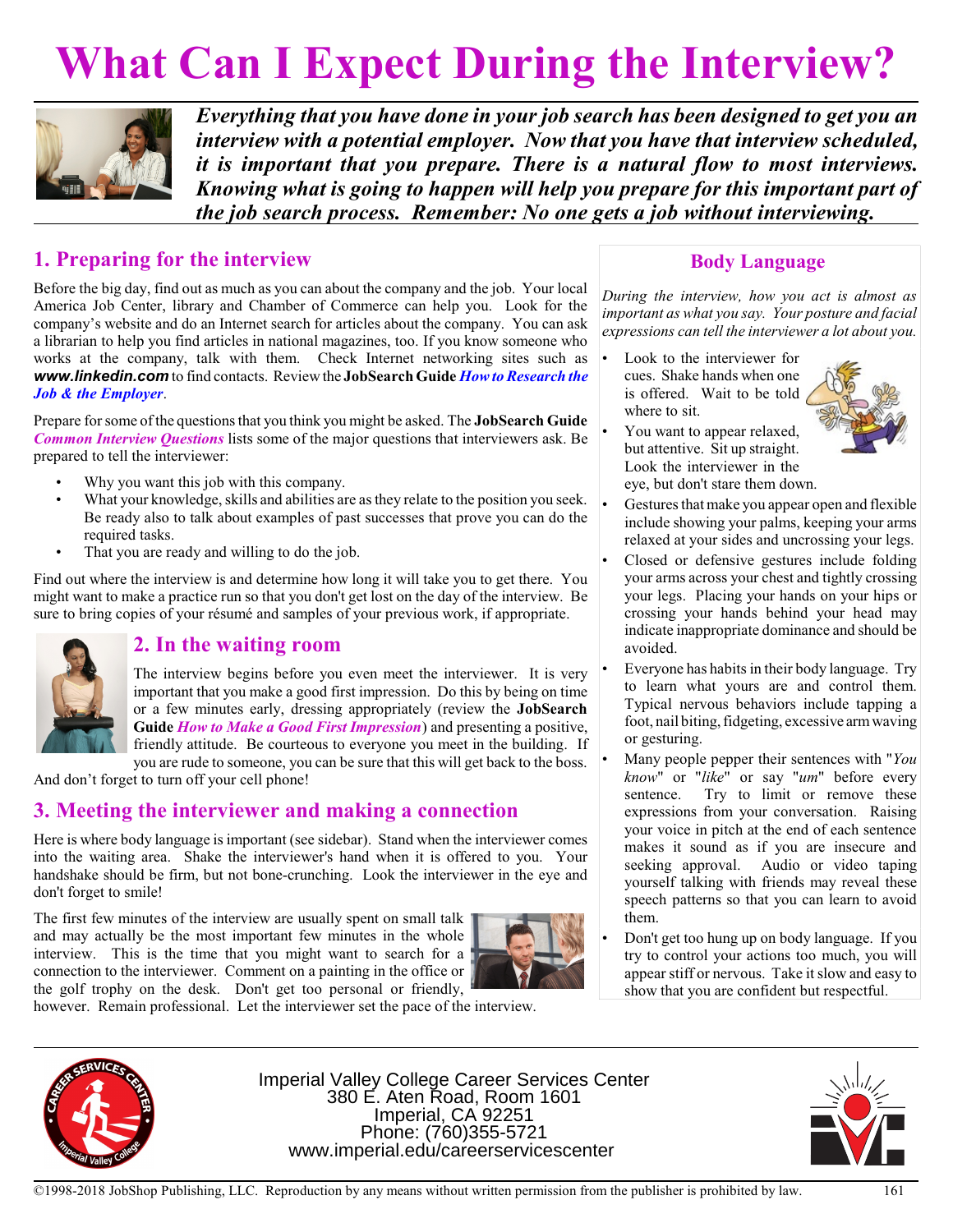# **What Can I Expect During the Interview?**



*Everything that you have done in your job search has been designed to get you an interview with a potential employer. Now that you have that interview scheduled, it is important that you prepare. There is a natural flow to most interviews. Knowing what is going to happen will help you prepare for this important part of the job search process. Remember: No one gets a job without interviewing.*

## **1. Preparing for the interview**

Before the big day, find out as much as you can about the company and the job. Your local America Job Center, library and Chamber of Commerce can help you. Look for the company's website and do an Internet search for articles about the company. You can ask a librarian to help you find articles in national magazines, too. If you know someone who works at the company, talk with them. Check Internet networking sites such as **www.linkedin.com** to find contacts. Review the **JobSearch Guide** *How to Research the Job & the Employer*.

Prepare for some ofthe questions that you think you might be asked. The **JobSearch Guide** *Common Interview Questions* lists some of the major questions that interviewers ask. Be prepared to tell the interviewer:

- Why you want this job with this company.
- What your knowledge, skills and abilities are as they relate to the position you seek. Be ready also to talk about examples of past successes that prove you can do the required tasks.
- That you are ready and willing to do the job.

Find out where the interview is and determine how long it will take you to get there. You might want to make a practice run so that you don't get lost on the day of the interview. Be sure to bring copies of your résumé and samples of your previous work, if appropriate.



### **2. In the waiting room**

The interview begins before you even meet the interviewer. It is very important that you make a good first impression. Do this by being on time or a few minutes early, dressing appropriately (review the **JobSearch Guide** *How to Make a Good First Impression*) and presenting a positive, friendly attitude. Be courteous to everyone you meet in the building. If you are rude to someone, you can be sure that this will get back to the boss.

And don't forget to turn off your cell phone!

# **3. Meeting the interviewer and making a connection**

Here is where body language is important (see sidebar). Stand when the interviewer comes into the waiting area. Shake the interviewer's hand when it is offered to you. Your handshake should be firm, but not bone-crunching. Look the interviewer in the eye and don't forget to smile!

The first few minutes of the interview are usually spent on small talk and may actually be the most important few minutes in the whole interview. This is the time that you might want to search for a connection to the interviewer. Comment on a painting in the office or the golf trophy on the desk. Don't get too personal or friendly,



however. Remain professional. Let the interviewer set the pace of the interview.



Imperial Valley College Career Services Center 380 E. Aten Road, Room 1601 Imperial, CA 92251 Phone: (760)355-5721 www.imperial.edu/careerservicescenter

# **Body Language**

*During the interview, how you act is almost as important as what you say. Your posture and facial expressions can tell the interviewer a lot about you.*

Look to the interviewer for cues. Shake hands when one is offered. Wait to be told where to sit.



- You want to appear relaxed, but attentive. Sit up straight. Look the interviewer in the eye, but don't stare them down.
- Gestures that make you appear open and flexible include showing your palms, keeping your arms relaxed at your sides and uncrossing your legs.
- Closed or defensive gestures include folding your arms across your chest and tightly crossing your legs. Placing your hands on your hips or crossing your hands behind your head may indicate inappropriate dominance and should be avoided.
- Everyone has habits in their body language. Try to learn what yours are and control them. Typical nervous behaviors include tapping a foot, nail biting, fidgeting, excessive armwaving or gesturing.
- Many people pepper their sentences with "*You know*" or "*like*" or say "*um*" before every sentence. Try to limit or remove these expressions from your conversation. Raising your voice in pitch at the end of each sentence makes it sound as if you are insecure and seeking approval. Audio or video taping yourself talking with friends may reveal these speech patterns so that you can learn to avoid them.
- Don't get too hung up on body language. If you try to control your actions too much, you will appear stiff or nervous. Take it slow and easy to show that you are confident but respectful.